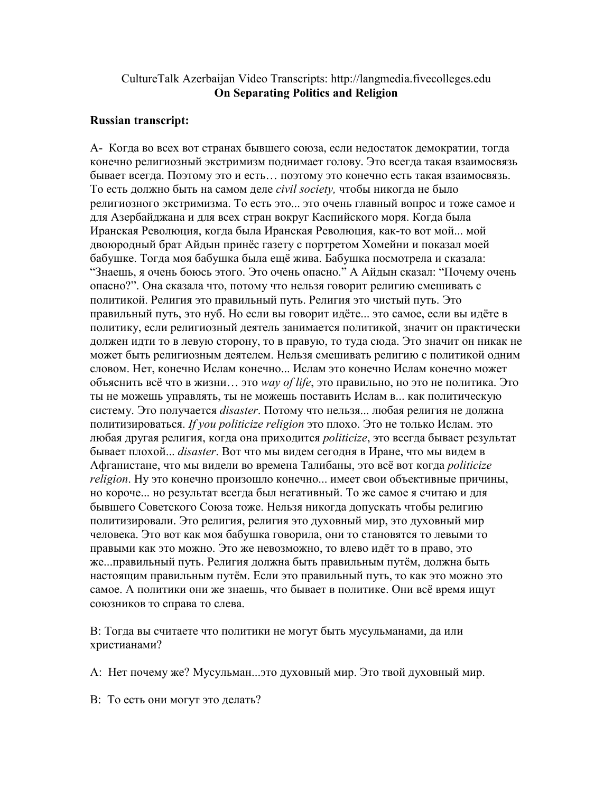## CultureTalk Azerbaijan Video Transcripts: http://langmedia.fivecolleges.edu On Separating Politics and Religion

## Russian transcript:

А- Когда во всех вот странах бывшего союза, если недостаток демократии, тогда конечно религиозный экстримизм поднимает голову. Это всегда такая взаимосвязь бывает всегда. Поэтому это и есть… поэтому это конечно есть такая взаимосвязь. То есть должно быть на самом деле civil society, чтобы никогда не было религиозного экстримизма. То есть это... это очень главный вопрос и тоже самое и для Азербайджана и для всех стран вокруг Каспийского моря. Когда была Иранская Революция, когда была Иранская Революция, как-то вот мой... мой двоюродный брат Айдын принёс газету с портретом Хомейни и показал моей бабушке. Тогда моя бабушка была ещё жива. Бабушка посмотрела и сказала: "Знаешь, я очень боюсь этого. Это очень опасно." А Айдын сказал: "Почему очень опасно?". Она сказала что, потому что нельзя говорит религию смешивать с политикой. Религия это правильный путь. Религия это чистый путь. Это правильный путь, это нуб. Но если вы говорит идёте... это самое, если вы идёте в политику, если религиозный деятель занимается политикой, значит он практически должен идти то в левую сторону, то в правую, то туда сюда. Это значит он никак не может быть религиозным деятелем. Нельзя смешивать религию с политикой одним словом. Нет, конечно Ислам конечно... Ислам это конечно Ислам конечно может объяснить всё что в жизни... это way of life, это правильно, но это не политика. Это ты не можешь управлять, ты не можешь поставить Ислам в... как политическую систему. Это получается disaster. Потому что нельзя... любая религия не должна политизироваться. If you politicize religion это плохо. Это не только Ислам. это любая другая религия, когда она приходится *politicize*, это всегда бывает результат бывает плохой... disaster. Вот что мы видем сегодня в Иране, что мы видем в Афганистане, что мы видели во времена Талибаны, это всё вот когда *politicize* religion. Ну это конечно произошло конечно... имеет свои объективные причины, но короче... но результат всегда был негативный. То же самое я считаю и для бывшего Советского Союза тоже. Нельзя никогда допускать чтобы религию политизировали. Это религия, религия это духовный мир, это духовный мир человека. Это вот как моя бабушка говорила, они то становятся то левыми то правыми как это можно. Это же невозможно, то влево идёт то в право, это же...правильный путь. Религия должна быть правильным путём, должна быть настоящим правильным путём. Если это правильный путь, то как это можно это самое. А политики они же знаешь, что бывает в политике. Они всё время ищут союзников то справа то слева.

В: Тогда вы считаете что политики не могут быть мусульманами, да или христианами?

А: Нет почему же? Мусульман...это духовный мир. Это твой духовный мир.

В: То есть они могут это делать?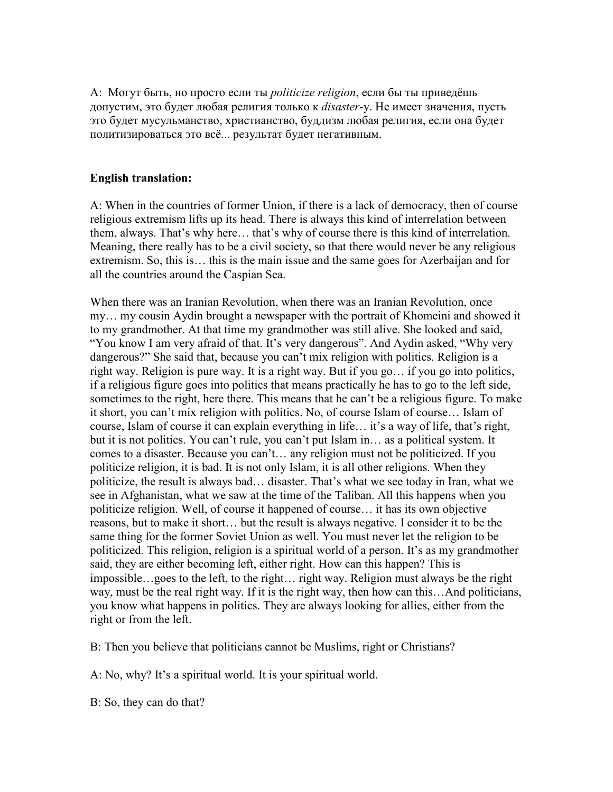А: Могут быть, но просто если ты politicize religion, если бы ты приведёшь допустим, это будет любая религия только к *disaster-*у. Не имеет значения, пусть это будет мусульманство, христианство, буддизм любая религия, если она будет политизироваться это всё... результат будет негативным.

## English translation:

A: When in the countries of former Union, if there is a lack of democracy, then of course religious extremism lifts up its head. There is always this kind of interrelation between them, always. That's why here… that's why of course there is this kind of interrelation. Meaning, there really has to be a civil society, so that there would never be any religious extremism. So, this is… this is the main issue and the same goes for Azerbaijan and for all the countries around the Caspian Sea.

When there was an Iranian Revolution, when there was an Iranian Revolution, once my… my cousin Aydin brought a newspaper with the portrait of Khomeini and showed it to my grandmother. At that time my grandmother was still alive. She looked and said, "You know I am very afraid of that. It's very dangerous". And Aydin asked, "Why very dangerous?" She said that, because you can't mix religion with politics. Religion is a right way. Religion is pure way. It is a right way. But if you go… if you go into politics, if a religious figure goes into politics that means practically he has to go to the left side, sometimes to the right, here there. This means that he can't be a religious figure. To make it short, you can't mix religion with politics. No, of course Islam of course… Islam of course, Islam of course it can explain everything in life… it's a way of life, that's right, but it is not politics. You can't rule, you can't put Islam in… as a political system. It comes to a disaster. Because you can't… any religion must not be politicized. If you politicize religion, it is bad. It is not only Islam, it is all other religions. When they politicize, the result is always bad… disaster. That's what we see today in Iran, what we see in Afghanistan, what we saw at the time of the Taliban. All this happens when you politicize religion. Well, of course it happened of course… it has its own objective reasons, but to make it short… but the result is always negative. I consider it to be the same thing for the former Soviet Union as well. You must never let the religion to be politicized. This religion, religion is a spiritual world of a person. It's as my grandmother said, they are either becoming left, either right. How can this happen? This is impossible…goes to the left, to the right… right way. Religion must always be the right way, must be the real right way. If it is the right way, then how can this...And politicians, you know what happens in politics. They are always looking for allies, either from the right or from the left.

B: Then you believe that politicians cannot be Muslims, right or Christians?

A: No, why? It's a spiritual world. It is your spiritual world.

B: So, they can do that?